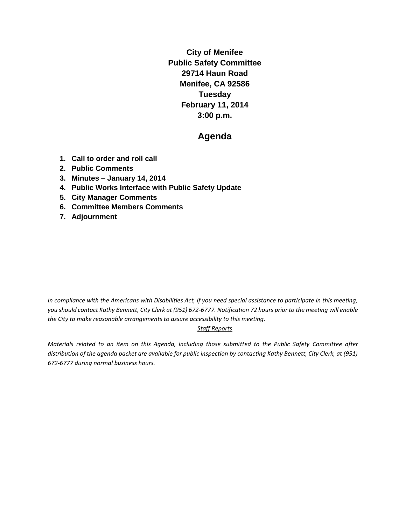**City of Menifee Public Safety Committee 29714 Haun Road Menifee, CA 92586 Tuesday February 11, 2014 3:00 p.m.**

# **Agenda**

- **1. Call to order and roll call**
- **2. Public Comments**
- **3. Minutes – January 14, 2014**
- **4. Public Works Interface with Public Safety Update**
- **5. City Manager Comments**
- **6. Committee Members Comments**
- **7. Adjournment**

*In compliance with the Americans with Disabilities Act, if you need special assistance to participate in this meeting, you should contact Kathy Bennett, City Clerk at (951) 672-6777. Notification 72 hours prior to the meeting will enable the City to make reasonable arrangements to assure accessibility to this meeting.* 

#### *Staff Reports*

*Materials related to an item on this Agenda, including those submitted to the Public Safety Committee after distribution of the agenda packet are available for public inspection by contacting Kathy Bennett, City Clerk, at (951) 672-6777 during normal business hours.*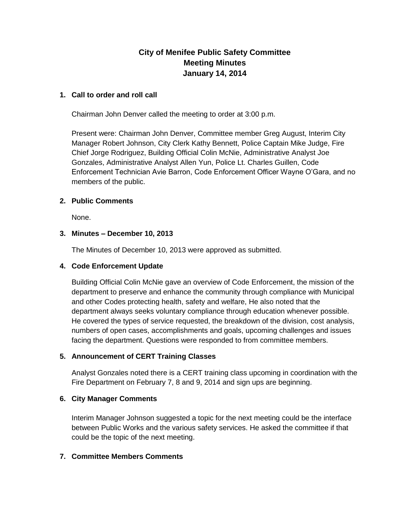## **City of Menifee Public Safety Committee Meeting Minutes January 14, 2014**

#### **1. Call to order and roll call**

Chairman John Denver called the meeting to order at 3:00 p.m.

Present were: Chairman John Denver, Committee member Greg August, Interim City Manager Robert Johnson, City Clerk Kathy Bennett, Police Captain Mike Judge, Fire Chief Jorge Rodriguez, Building Official Colin McNie, Administrative Analyst Joe Gonzales, Administrative Analyst Allen Yun, Police Lt. Charles Guillen, Code Enforcement Technician Avie Barron, Code Enforcement Officer Wayne O'Gara, and no members of the public.

### **2. Public Comments**

None.

#### **3. Minutes – December 10, 2013**

The Minutes of December 10, 2013 were approved as submitted.

#### **4. Code Enforcement Update**

Building Official Colin McNie gave an overview of Code Enforcement, the mission of the department to preserve and enhance the community through compliance with Municipal and other Codes protecting health, safety and welfare, He also noted that the department always seeks voluntary compliance through education whenever possible. He covered the types of service requested, the breakdown of the division, cost analysis, numbers of open cases, accomplishments and goals, upcoming challenges and issues facing the department. Questions were responded to from committee members.

#### **5. Announcement of CERT Training Classes**

Analyst Gonzales noted there is a CERT training class upcoming in coordination with the Fire Department on February 7, 8 and 9, 2014 and sign ups are beginning.

#### **6. City Manager Comments**

Interim Manager Johnson suggested a topic for the next meeting could be the interface between Public Works and the various safety services. He asked the committee if that could be the topic of the next meeting.

### **7. Committee Members Comments**